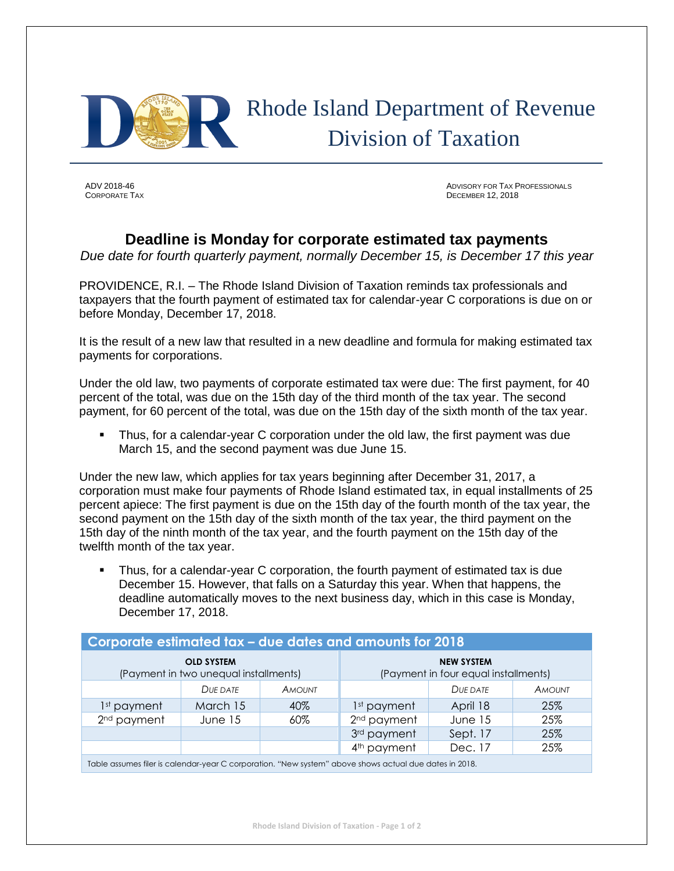

## Rhode Island Department of Revenue Division of Taxation

ADV 2018-46 ADVISORY FOR TAX PROFESSIONALS **CORPORATE TAX** DECEMBER 12, 2018

## **Deadline is Monday for corporate estimated tax payments**

*Due date for fourth quarterly payment, normally December 15, is December 17 this year*

PROVIDENCE, R.I. – The Rhode Island Division of Taxation reminds tax professionals and taxpayers that the fourth payment of estimated tax for calendar-year C corporations is due on or before Monday, December 17, 2018.

It is the result of a new law that resulted in a new deadline and formula for making estimated tax payments for corporations.

Under the old law, two payments of corporate estimated tax were due: The first payment, for 40 percent of the total, was due on the 15th day of the third month of the tax year. The second payment, for 60 percent of the total, was due on the 15th day of the sixth month of the tax year.

Thus, for a calendar-year C corporation under the old law, the first payment was due March 15, and the second payment was due June 15.

Under the new law, which applies for tax years beginning after December 31, 2017, a corporation must make four payments of Rhode Island estimated tax, in equal installments of 25 percent apiece: The first payment is due on the 15th day of the fourth month of the tax year, the second payment on the 15th day of the sixth month of the tax year, the third payment on the 15th day of the ninth month of the tax year, and the fourth payment on the 15th day of the twelfth month of the tax year.

Thus, for a calendar-year C corporation, the fourth payment of estimated tax is due December 15. However, that falls on a Saturday this year. When that happens, the deadline automatically moves to the next business day, which in this case is Monday, December 17, 2018.

| Corporate estimated tax - due dates and amounts for 2018                                               |          |               |                                                           |          |               |  |
|--------------------------------------------------------------------------------------------------------|----------|---------------|-----------------------------------------------------------|----------|---------------|--|
| <b>OLD SYSTEM</b><br>(Payment in two unequal installments)                                             |          |               | <b>NEW SYSTEM</b><br>(Payment in four equal installments) |          |               |  |
|                                                                                                        | DUE DATE | <b>AMOUNT</b> |                                                           | DUE DATE | <b>AMOUNT</b> |  |
| 1 <sup>st</sup> payment                                                                                | March 15 | 40%           | 1 <sup>st</sup> payment                                   | April 18 | 25%           |  |
| 2 <sup>nd</sup> payment                                                                                | June 15  | 60%           | 2 <sup>nd</sup> payment                                   | June 15  | 25%           |  |
|                                                                                                        |          |               | 3rd payment                                               | Sept. 17 | 25%           |  |
|                                                                                                        |          |               | 4 <sup>th</sup> payment                                   | Dec. 17  | 25%           |  |
| Table assumes filer is calendar-year C corporation. "New system" above shows actual due dates in 2018. |          |               |                                                           |          |               |  |